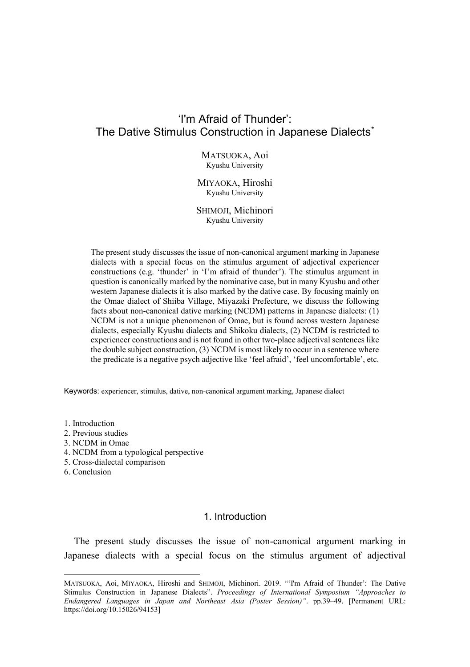# 'I'm Afraid of Thunder': The Dative Stimulus Construction in Japanese Dialects[\\*](#page-0-0)

MATSUOKA, Aoi Kyushu University

MIYAOKA, Hiroshi Kyushu University

SHIMOJI, Michinori Kyushu University

The present study discusses the issue of non-canonical argument marking in Japanese dialects with a special focus on the stimulus argument of adjectival experiencer constructions (e.g. 'thunder' in 'I'm afraid of thunder'). The stimulus argument in question is canonically marked by the nominative case, but in many Kyushu and other western Japanese dialects it is also marked by the dative case. By focusing mainly on the Omae dialect of Shiiba Village, Miyazaki Prefecture, we discuss the following facts about non-canonical dative marking (NCDM) patterns in Japanese dialects: (1) NCDM is not a unique phenomenon of Omae, but is found across western Japanese dialects, especially Kyushu dialects and Shikoku dialects, (2) NCDM is restricted to experiencer constructions and is not found in other two-place adjectival sentences like the double subject construction, (3) NCDM is most likely to occur in a sentence where the predicate is a negative psych adjective like 'feel afraid', 'feel uncomfortable', etc.

Keywords: experiencer, stimulus, dative, non-canonical argument marking, Japanese dialect

- 1. Introduction
- 2. Previous studies
- 3. NCDM in Omae
- 4. NCDM from a typological perspective
- 5. Cross-dialectal comparison
- 6. Conclusion

### 1. Introduction

The present study discusses the issue of non-canonical argument marking in Japanese dialects with a special focus on the stimulus argument of adjectival

<span id="page-0-0"></span>MATSUOKA, Aoi, MIYAOKA, Hiroshi and SHIMOJI, Michinori. 2019. "'I'm Afraid of Thunder': The Dative Stimulus Construction in Japanese Dialects". *Proceedings of International Symposium "Approaches to Endangered Languages in Japan and Northeast Asia (Poster Session)"*. pp.39–49. [Permanent URL: https://doi.org/10.15026/94153]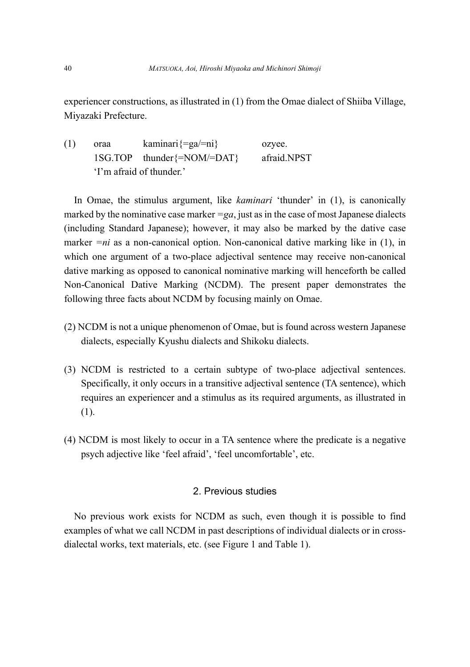experiencer constructions, as illustrated in (1) from the Omae dialect of Shiiba Village, Miyazaki Prefecture.

(1) oraa kaminari{=ga/=ni} ozyee. 1SG.TOP thunder{=NOM/=DAT} afraid.NPST 'I'm afraid of thunder.'

In Omae, the stimulus argument, like *kaminari* 'thunder' in (1), is canonically marked by the nominative case marker  $=ga$ , just as in the case of most Japanese dialects (including Standard Japanese); however, it may also be marked by the dative case marker  $=n_i$  as a non-canonical option. Non-canonical dative marking like in (1), in which one argument of a two-place adjectival sentence may receive non-canonical dative marking as opposed to canonical nominative marking will henceforth be called Non-Canonical Dative Marking (NCDM). The present paper demonstrates the following three facts about NCDM by focusing mainly on Omae.

- (2) NCDM is not a unique phenomenon of Omae, but is found across western Japanese dialects, especially Kyushu dialects and Shikoku dialects.
- (3) NCDM is restricted to a certain subtype of two-place adjectival sentences. Specifically, it only occurs in a transitive adjectival sentence (TA sentence), which requires an experiencer and a stimulus as its required arguments, as illustrated in (1).
- (4) NCDM is most likely to occur in a TA sentence where the predicate is a negative psych adjective like 'feel afraid', 'feel uncomfortable', etc.

### 2. Previous studies

No previous work exists for NCDM as such, even though it is possible to find examples of what we call NCDM in past descriptions of individual dialects or in crossdialectal works, text materials, etc. (see Figure 1 and Table 1).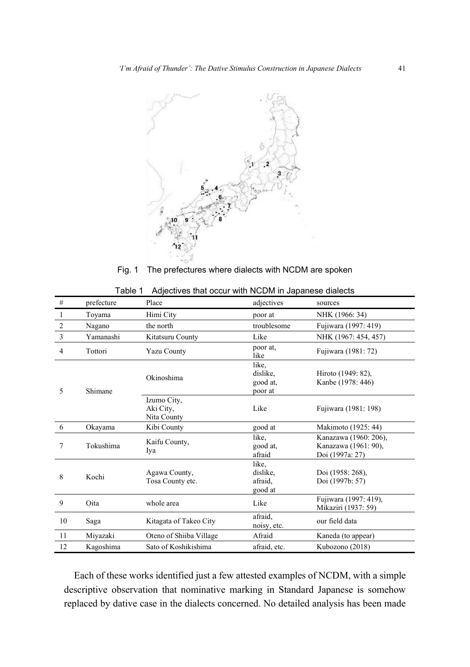

Fig. 1 The prefectures where dialects with NCDM are spoken

| #              | prefecture | Place                                   | adjectives                               | sources                                                          |
|----------------|------------|-----------------------------------------|------------------------------------------|------------------------------------------------------------------|
| 1              | Toyama     | Himi City                               | poor at                                  | NHK (1966: 34)                                                   |
| $\overline{c}$ | Nagano     | the north                               | troublesome                              | Fujiwara (1997: 419)                                             |
| 3              | Yamanashi  | Kitatsuru County                        | Like                                     | NHK (1967: 454, 457)                                             |
| 4              | Tottori    | <b>Yazu County</b>                      | poor at,<br>like                         | Fujiwara (1981: 72)                                              |
| 5              | Shimane    | Okinoshima                              | like.<br>dislike,<br>good at,<br>poor at | Hiroto (1949: 82),<br>Kanbe (1978: 446)                          |
|                |            | Izumo City,<br>Aki City,<br>Nita County | Like                                     | Fujiwara (1981: 198)                                             |
| 6              | Okayama    | Kibi County                             | good at                                  | Makimoto (1925: 44)                                              |
| 7              | Tokushima  | Kaifu County,<br>Iya                    | like.<br>good at.<br>afraid              | Kanazawa (1960: 206),<br>Kanazawa (1961: 90),<br>Doi (1997a: 27) |
| 8              | Kochi      | Agawa County,<br>Tosa County etc.       | like.<br>dislike,<br>afraid.<br>good at  | Doi (1958: 268),<br>Doi (1997b: 57)                              |
| 9              | Oita       | whole area                              | Like                                     | Fujiwara (1997: 419),<br>Mikaziri (1937: 59)                     |
| 10             | Saga       | Kitagata of Takeo City                  | afraid,<br>noisy, etc.                   | our field data                                                   |
| 11             | Miyazaki   | Oteno of Shiiba Village                 | Afraid                                   | Kaneda (to appear)                                               |
| 12             | Kagoshima  | Sato of Koshikishima                    | afraid, etc.                             | Kubozono (2018)                                                  |

| Table 1 Adjectives that occur with NCDM in Japanese dialects |  |
|--------------------------------------------------------------|--|
|--------------------------------------------------------------|--|

Each of these works identified just a few attested examples of NCDM, with a simple descriptive observation that nominative marking in Standard Japanese is somehow replaced by dative case in the dialects concerned. No detailed analysis has been made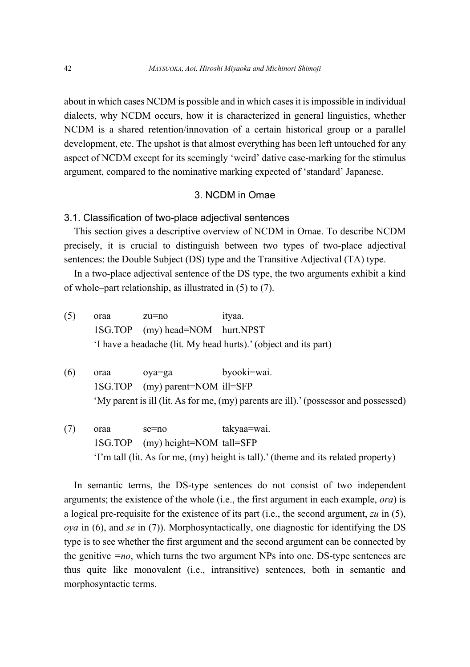about in which cases NCDM is possible and in which cases it is impossible in individual dialects, why NCDM occurs, how it is characterized in general linguistics, whether NCDM is a shared retention/innovation of a certain historical group or a parallel development, etc. The upshot is that almost everything has been left untouched for any aspect of NCDM except for its seemingly 'weird' dative case-marking for the stimulus argument, compared to the nominative marking expected of 'standard' Japanese.

### 3. NCDM in Omae

### 3.1. Classification of two-place adjectival sentences

This section gives a descriptive overview of NCDM in Omae. To describe NCDM precisely, it is crucial to distinguish between two types of two-place adjectival sentences: the Double Subject (DS) type and the Transitive Adjectival (TA) type.

In a two-place adjectival sentence of the DS type, the two arguments exhibit a kind of whole–part relationship, as illustrated in (5) to (7).

- (5) oraa zu=no ityaa. 1SG.TOP (my) head=NOM hurt.NPST 'I have a headache (lit. My head hurts).' (object and its part)
- (6) oraa oya=ga byooki=wai. 1SG.TOP (my) parent=NOM ill=SFP 'My parent is ill (lit. As for me, (my) parents are ill).' (possessor and possessed)
- (7) oraa se=no takyaa=wai. 1SG.TOP (my) height=NOM tall=SFP 'I'm tall (lit. As for me, (my) height is tall).' (theme and its related property)

In semantic terms, the DS-type sentences do not consist of two independent arguments; the existence of the whole (i.e., the first argument in each example, *ora*) is a logical pre-requisite for the existence of its part (i.e., the second argument, *zu* in (5), *oya* in (6), and *se* in (7)). Morphosyntactically, one diagnostic for identifying the DS type is to see whether the first argument and the second argument can be connected by the genitive *=no*, which turns the two argument NPs into one. DS-type sentences are thus quite like monovalent (i.e., intransitive) sentences, both in semantic and morphosyntactic terms.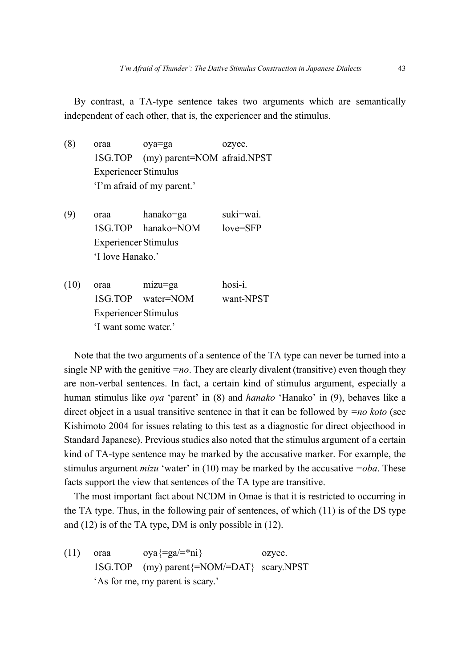By contrast, a TA-type sentence takes two arguments which are semantically independent of each other, that is, the experiencer and the stimulus.

- (8) oraa oya=ga ozyee. 1SG.TOP (my) parent=NOM afraid.NPST Experiencer Stimulus 'I'm afraid of my parent.'
- (9) oraa hanako=ga suki=wai. 1SG.TOP hanako=NOM love=SFP Experiencer Stimulus 'I love Hanako.'
- (10) oraa mizu=ga hosi-i. 1SG.TOP water=NOM want-NPST Experiencer Stimulus 'I want some water.'

Note that the two arguments of a sentence of the TA type can never be turned into a single NP with the genitive *=no*. They are clearly divalent (transitive) even though they are non-verbal sentences. In fact, a certain kind of stimulus argument, especially a human stimulus like *oya* 'parent' in (8) and *hanako* 'Hanako' in (9), behaves like a direct object in a usual transitive sentence in that it can be followed by *=no koto* (see Kishimoto 2004 for issues relating to this test as a diagnostic for direct objecthood in Standard Japanese). Previous studies also noted that the stimulus argument of a certain kind of TA-type sentence may be marked by the accusative marker. For example, the stimulus argument *mizu* 'water' in (10) may be marked by the accusative *=oba*. These facts support the view that sentences of the TA type are transitive.

The most important fact about NCDM in Omae is that it is restricted to occurring in the TA type. Thus, in the following pair of sentences, of which (11) is of the DS type and (12) is of the TA type, DM is only possible in (12).

(11) oraa  $oya\{=ga/=\text{*}ni\}$  ozyee. 1SG.TOP (my) parent{=NOM/=DAT} scary.NPST 'As for me, my parent is scary.'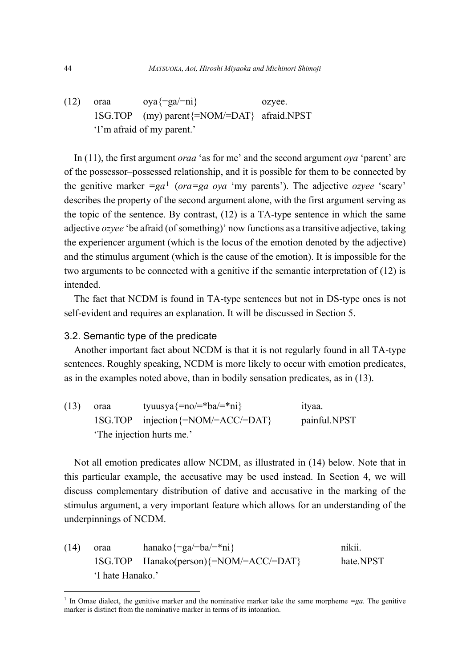(12) oraa  $oya\{=ga/=ni\}$  ozyee. 1SG.TOP (my) parent{=NOM/=DAT} afraid.NPST 'I'm afraid of my parent.'

In (11), the first argument *oraa* 'as for me' and the second argument *oya* 'parent' are of the possessor–possessed relationship, and it is possible for them to be connected by the genitive marker *=ga*[1](#page-5-0) (*ora=ga oya* 'my parents'). The adjective *ozyee* 'scary' describes the property of the second argument alone, with the first argument serving as the topic of the sentence. By contrast, (12) is a TA-type sentence in which the same adjective *ozyee* 'be afraid (of something)' now functions as a transitive adjective, taking the experiencer argument (which is the locus of the emotion denoted by the adjective) and the stimulus argument (which is the cause of the emotion). It is impossible for the two arguments to be connected with a genitive if the semantic interpretation of (12) is intended.

The fact that NCDM is found in TA-type sentences but not in DS-type ones is not self-evident and requires an explanation. It will be discussed in Section 5.

### 3.2. Semantic type of the predicate

Another important fact about NCDM is that it is not regularly found in all TA-type sentences. Roughly speaking, NCDM is more likely to occur with emotion predicates, as in the examples noted above, than in bodily sensation predicates, as in (13).

| (13) | oraa                      | tyuusya $\frac{1}{2}$ no/=*ba/=*ni             | ityaa.       |  |
|------|---------------------------|------------------------------------------------|--------------|--|
|      |                           | $1SG.TOP$ injection $\frac{5-NOM}{4CCC/4DATA}$ | painful.NPST |  |
|      | 'The injection hurts me.' |                                                |              |  |

Not all emotion predicates allow NCDM, as illustrated in (14) below. Note that in this particular example, the accusative may be used instead. In Section 4, we will discuss complementary distribution of dative and accusative in the marking of the stimulus argument, a very important feature which allows for an understanding of the underpinnings of NCDM.

(14) oraa hanako $\{=\text{ga}/=\text{ba}/=\text{ma}\}$  nikii. 1SG.TOP Hanako(person){=NOM/=ACC/=DAT} hate.NPST 'I hate Hanako.'

<span id="page-5-0"></span>In Omae dialect, the genitive marker and the nominative marker take the same morpheme  $=ga$ . The genitive marker is distinct from the nominative marker in terms of its intonation.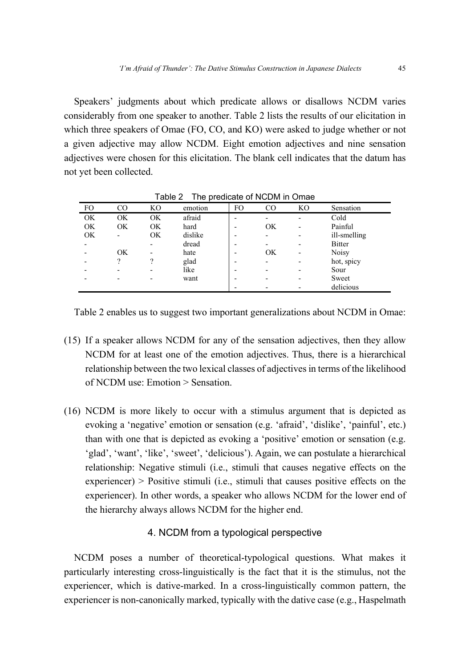Speakers' judgments about which predicate allows or disallows NCDM varies considerably from one speaker to another. Table 2 lists the results of our elicitation in which three speakers of Omae (FO, CO, and KO) were asked to judge whether or not a given adjective may allow NCDM. Eight emotion adjectives and nine sensation adjectives were chosen for this elicitation. The blank cell indicates that the datum has not yet been collected.

| FO | CO | KO | emotion | FO | $_{\rm CO}$ | KO | Sensation     |
|----|----|----|---------|----|-------------|----|---------------|
| OK | OK | OK | afraid  |    | -           | ٠  | Cold          |
| OK | OK | OK | hard    |    | OK          | ٠  | Painful       |
| OK |    | OK | dislike |    |             | ٠  | ill-smelling  |
| -  |    |    | dread   |    |             |    | <b>Bitter</b> |
|    | OK | -  | hate    |    | OK          | ٠  | Noisy         |
| -  | 9  | 9  | glad    |    | -           |    | hot, spicy    |
|    | -  | -  | like    |    | -           | -  | Sour          |
|    |    |    | want    |    |             |    | Sweet         |
|    |    |    |         |    |             |    | delicious     |

Table 2 The predicate of NCDM in Omae

Table 2 enables us to suggest two important generalizations about NCDM in Omae:

- (15) If a speaker allows NCDM for any of the sensation adjectives, then they allow NCDM for at least one of the emotion adjectives. Thus, there is a hierarchical relationship between the two lexical classes of adjectives in terms of the likelihood of NCDM use: Emotion > Sensation.
- (16) NCDM is more likely to occur with a stimulus argument that is depicted as evoking a 'negative' emotion or sensation (e.g. 'afraid', 'dislike', 'painful', etc.) than with one that is depicted as evoking a 'positive' emotion or sensation (e.g. 'glad', 'want', 'like', 'sweet', 'delicious'). Again, we can postulate a hierarchical relationship: Negative stimuli (i.e., stimuli that causes negative effects on the experiencer) > Positive stimuli (i.e., stimuli that causes positive effects on the experiencer). In other words, a speaker who allows NCDM for the lower end of the hierarchy always allows NCDM for the higher end.

## 4. NCDM from a typological perspective

NCDM poses a number of theoretical-typological questions. What makes it particularly interesting cross-linguistically is the fact that it is the stimulus, not the experiencer, which is dative-marked. In a cross-linguistically common pattern, the experiencer is non-canonically marked, typically with the dative case (e.g., Haspelmath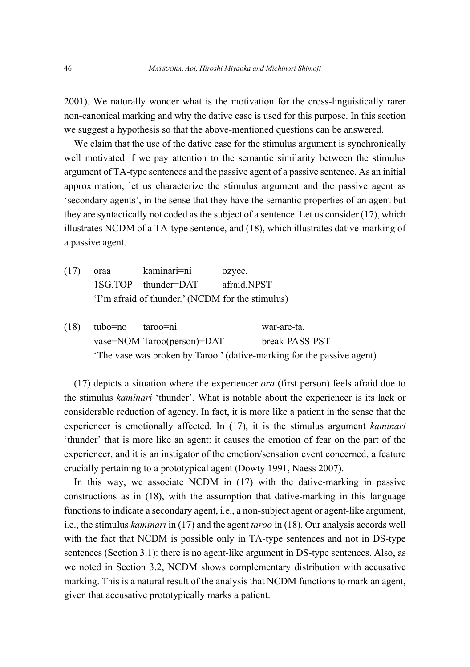2001). We naturally wonder what is the motivation for the cross-linguistically rarer non-canonical marking and why the dative case is used for this purpose. In this section we suggest a hypothesis so that the above-mentioned questions can be answered.

We claim that the use of the dative case for the stimulus argument is synchronically well motivated if we pay attention to the semantic similarity between the stimulus argument of TA-type sentences and the passive agent of a passive sentence. As an initial approximation, let us characterize the stimulus argument and the passive agent as 'secondary agents', in the sense that they have the semantic properties of an agent but they are syntactically not coded as the subject of a sentence. Let us consider (17), which illustrates NCDM of a TA-type sentence, and (18), which illustrates dative-marking of a passive agent.

- (17) oraa kaminari=ni ozyee. 1SG.TOP thunder=DAT afraid.NPST 'I'm afraid of thunder.' (NCDM for the stimulus)
- (18) tubo=no taroo=ni war-are-ta. vase=NOM Taroo(person)=DAT break-PASS-PST 'The vase was broken by Taroo.' (dative-marking for the passive agent)

(17) depicts a situation where the experiencer *ora* (first person) feels afraid due to the stimulus *kaminari* 'thunder'. What is notable about the experiencer is its lack or considerable reduction of agency. In fact, it is more like a patient in the sense that the experiencer is emotionally affected. In (17), it is the stimulus argument *kaminari* 'thunder' that is more like an agent: it causes the emotion of fear on the part of the experiencer, and it is an instigator of the emotion/sensation event concerned, a feature crucially pertaining to a prototypical agent (Dowty 1991, Naess 2007).

In this way, we associate NCDM in (17) with the dative-marking in passive constructions as in (18), with the assumption that dative-marking in this language functions to indicate a secondary agent, i.e., a non-subject agent or agent-like argument, i.e., the stimulus *kaminari* in (17) and the agent *taroo* in (18). Our analysis accords well with the fact that NCDM is possible only in TA-type sentences and not in DS-type sentences (Section 3.1): there is no agent-like argument in DS-type sentences. Also, as we noted in Section 3.2, NCDM shows complementary distribution with accusative marking. This is a natural result of the analysis that NCDM functions to mark an agent, given that accusative prototypically marks a patient.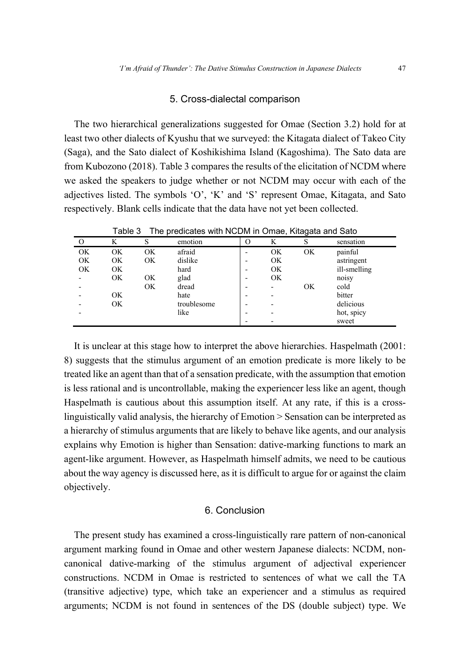#### 5. Cross-dialectal comparison

The two hierarchical generalizations suggested for Omae (Section 3.2) hold for at least two other dialects of Kyushu that we surveyed: the Kitagata dialect of Takeo City (Saga), and the Sato dialect of Koshikishima Island (Kagoshima). The Sato data are from Kubozono (2018). Table 3 compares the results of the elicitation of NCDM where we asked the speakers to judge whether or not NCDM may occur with each of the adjectives listed. The symbols 'O', 'K' and 'S' represent Omae, Kitagata, and Sato respectively. Blank cells indicate that the data have not yet been collected.

| ט טושוי<br>The prodiction with NODM in Onlide, ruley and only |    |    |             |         |    |    |              |
|---------------------------------------------------------------|----|----|-------------|---------|----|----|--------------|
| $\Omega$                                                      | K  | S  | emotion     | $\circ$ | K  | S  | sensation    |
| <b>OK</b>                                                     | OK | OK | afraid      |         | OK | OK | painful      |
| OK                                                            | ОK | OK | dislike     |         | OK |    | astringent   |
| OK                                                            | OK |    | hard        | -       | OK |    | ill-smelling |
|                                                               | ОK | OK | glad        |         | OK |    | noisy        |
|                                                               |    | OK | dread       |         |    | OK | cold         |
|                                                               | OK |    | hate        |         |    |    | bitter       |
|                                                               | OK |    | troublesome | -       |    |    | delicious    |
|                                                               |    |    | like        |         |    |    | hot, spicy   |
|                                                               |    |    |             |         |    |    | sweet        |

Table 3 The predicates with NCDM in Omae, Kitagata and Sato

It is unclear at this stage how to interpret the above hierarchies. Haspelmath (2001: 8) suggests that the stimulus argument of an emotion predicate is more likely to be treated like an agent than that of a sensation predicate, with the assumption that emotion is less rational and is uncontrollable, making the experiencer less like an agent, though Haspelmath is cautious about this assumption itself. At any rate, if this is a crosslinguistically valid analysis, the hierarchy of Emotion > Sensation can be interpreted as a hierarchy of stimulus arguments that are likely to behave like agents, and our analysis explains why Emotion is higher than Sensation: dative-marking functions to mark an agent-like argument. However, as Haspelmath himself admits, we need to be cautious about the way agency is discussed here, as it is difficult to argue for or against the claim objectively.

### 6. Conclusion

The present study has examined a cross-linguistically rare pattern of non-canonical argument marking found in Omae and other western Japanese dialects: NCDM, noncanonical dative-marking of the stimulus argument of adjectival experiencer constructions. NCDM in Omae is restricted to sentences of what we call the TA (transitive adjective) type, which take an experiencer and a stimulus as required arguments; NCDM is not found in sentences of the DS (double subject) type. We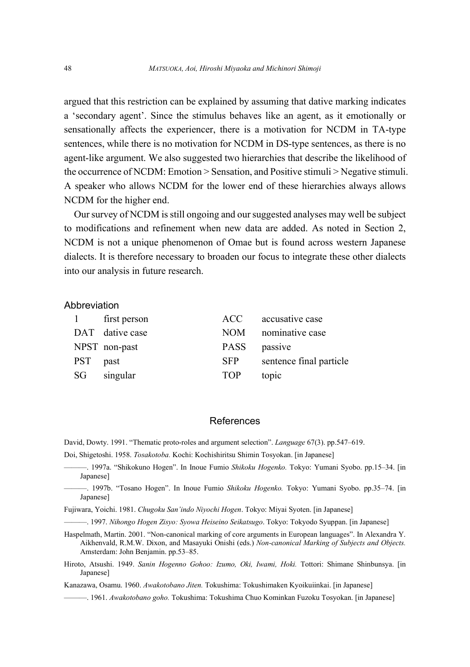argued that this restriction can be explained by assuming that dative marking indicates a 'secondary agent'. Since the stimulus behaves like an agent, as it emotionally or sensationally affects the experiencer, there is a motivation for NCDM in TA-type sentences, while there is no motivation for NCDM in DS-type sentences, as there is no agent-like argument. We also suggested two hierarchies that describe the likelihood of the occurrence of NCDM: Emotion > Sensation, and Positive stimuli > Negative stimuli. A speaker who allows NCDM for the lower end of these hierarchies always allows NCDM for the higher end.

Our survey of NCDM is still ongoing and our suggested analyses may well be subject to modifications and refinement when new data are added. As noted in Section 2, NCDM is not a unique phenomenon of Omae but is found across western Japanese dialects. It is therefore necessary to broaden our focus to integrate these other dialects into our analysis in future research.

#### Abbreviation

| $\mathbf{1}$ | first person    | ACC –       | accusative case         |
|--------------|-----------------|-------------|-------------------------|
|              | DAT dative case | NOM -       | nominative case         |
|              | NPST non-past   | <b>PASS</b> | passive                 |
| <b>PST</b>   | past            | <b>SFP</b>  | sentence final particle |
| SG           | singular        | <b>TOP</b>  | topic                   |

### References

David, Dowty. 1991. "Thematic proto-roles and argument selection". *Language* 67(3). pp.547–619.

Doi, Shigetoshi. 1958. *Tosakotoba.* Kochi: Kochishiritsu Shimin Tosyokan. [in Japanese]

- ———. 1997a. "Shikokuno Hogen". In Inoue Fumio *Shikoku Hogenko.* Tokyo: Yumani Syobo. pp.15–34. [in Japanese]
- ———. 1997b. "Tosano Hogen". In Inoue Fumio *Shikoku Hogenko.* Tokyo: Yumani Syobo. pp.35–74. [in Japanese]

Fujiwara, Yoichi. 1981. *Chugoku San'indo Niyochi Hogen*. Tokyo: Miyai Syoten. [in Japanese]

———. 1997. *Nihongo Hogen Zisyo: Syowa Heiseino Seikatsugo*. Tokyo: Tokyodo Syuppan. [in Japanese]

Haspelmath, Martin. 2001. "Non-canonical marking of core arguments in European languages". In Alexandra Y. Aikhenvald, R.M.W. Dixon, and Masayuki Onishi (eds.) *Non-canonical Marking of Subjects and Objects.* Amsterdam: John Benjamin. pp.53–85.

Hiroto, Atsushi. 1949. *Sanin Hogenno Gohoo: Izumo, Oki, Iwami, Hoki.* Tottori: Shimane Shinbunsya. [in Japanese]

Kanazawa, Osamu. 1960. *Awakotobano Jiten.* Tokushima: Tokushimaken Kyoikuiinkai. [in Japanese]

———. 1961. *Awakotobano goho.* Tokushima: Tokushima Chuo Kominkan Fuzoku Tosyokan. [in Japanese]